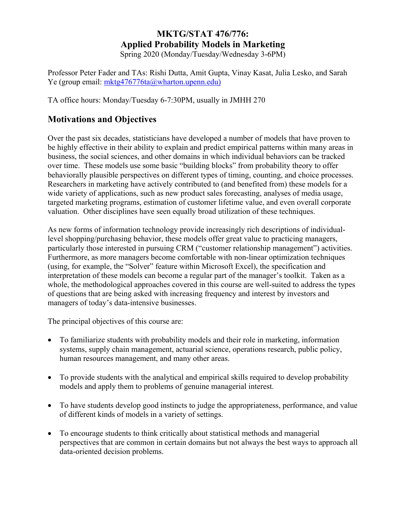# **MKTG/STAT 476/776: Applied Probability Models in Marketing**

Spring 2020 (Monday/Tuesday/Wednesday 3-6PM)

Professor Peter Fader and TAs: Rishi Dutta, Amit Gupta, Vinay Kasat, Julia Lesko, and Sarah Ye (group email: mktg476776ta@wharton.upenn.edu)

TA office hours: Monday/Tuesday 6-7:30PM, usually in JMHH 270

# **Motivations and Objectives**

Over the past six decades, statisticians have developed a number of models that have proven to be highly effective in their ability to explain and predict empirical patterns within many areas in business, the social sciences, and other domains in which individual behaviors can be tracked over time. These models use some basic "building blocks" from probability theory to offer behaviorally plausible perspectives on different types of timing, counting, and choice processes. Researchers in marketing have actively contributed to (and benefited from) these models for a wide variety of applications, such as new product sales forecasting, analyses of media usage, targeted marketing programs, estimation of customer lifetime value, and even overall corporate valuation. Other disciplines have seen equally broad utilization of these techniques.

As new forms of information technology provide increasingly rich descriptions of individuallevel shopping/purchasing behavior, these models offer great value to practicing managers, particularly those interested in pursuing CRM ("customer relationship management") activities. Furthermore, as more managers become comfortable with non-linear optimization techniques (using, for example, the "Solver" feature within Microsoft Excel), the specification and interpretation of these models can become a regular part of the manager's toolkit. Taken as a whole, the methodological approaches covered in this course are well-suited to address the types of questions that are being asked with increasing frequency and interest by investors and managers of today's data-intensive businesses.

The principal objectives of this course are:

- To familiarize students with probability models and their role in marketing, information systems, supply chain management, actuarial science, operations research, public policy, human resources management, and many other areas.
- To provide students with the analytical and empirical skills required to develop probability models and apply them to problems of genuine managerial interest.
- To have students develop good instincts to judge the appropriateness, performance, and value of different kinds of models in a variety of settings.
- To encourage students to think critically about statistical methods and managerial perspectives that are common in certain domains but not always the best ways to approach all data-oriented decision problems.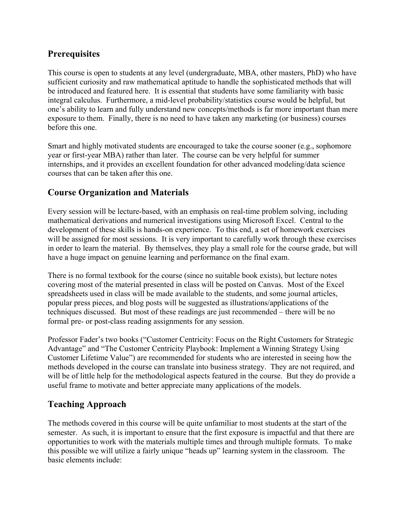# **Prerequisites**

This course is open to students at any level (undergraduate, MBA, other masters, PhD) who have sufficient curiosity and raw mathematical aptitude to handle the sophisticated methods that will be introduced and featured here. It is essential that students have some familiarity with basic integral calculus. Furthermore, a mid-level probability/statistics course would be helpful, but one's ability to learn and fully understand new concepts/methods is far more important than mere exposure to them. Finally, there is no need to have taken any marketing (or business) courses before this one.

Smart and highly motivated students are encouraged to take the course sooner (e.g., sophomore year or first-year MBA) rather than later. The course can be very helpful for summer internships, and it provides an excellent foundation for other advanced modeling/data science courses that can be taken after this one.

# **Course Organization and Materials**

Every session will be lecture-based, with an emphasis on real-time problem solving, including mathematical derivations and numerical investigations using Microsoft Excel. Central to the development of these skills is hands-on experience. To this end, a set of homework exercises will be assigned for most sessions. It is very important to carefully work through these exercises in order to learn the material. By themselves, they play a small role for the course grade, but will have a huge impact on genuine learning and performance on the final exam.

There is no formal textbook for the course (since no suitable book exists), but lecture notes covering most of the material presented in class will be posted on Canvas. Most of the Excel spreadsheets used in class will be made available to the students, and some journal articles, popular press pieces, and blog posts will be suggested as illustrations/applications of the techniques discussed. But most of these readings are just recommended – there will be no formal pre- or post-class reading assignments for any session.

Professor Fader's two books ("Customer Centricity: Focus on the Right Customers for Strategic Advantage" and "The Customer Centricity Playbook: Implement a Winning Strategy Using Customer Lifetime Value") are recommended for students who are interested in seeing how the methods developed in the course can translate into business strategy. They are not required, and will be of little help for the methodological aspects featured in the course. But they do provide a useful frame to motivate and better appreciate many applications of the models.

# **Teaching Approach**

The methods covered in this course will be quite unfamiliar to most students at the start of the semester. As such, it is important to ensure that the first exposure is impactful and that there are opportunities to work with the materials multiple times and through multiple formats. To make this possible we will utilize a fairly unique "heads up" learning system in the classroom. The basic elements include: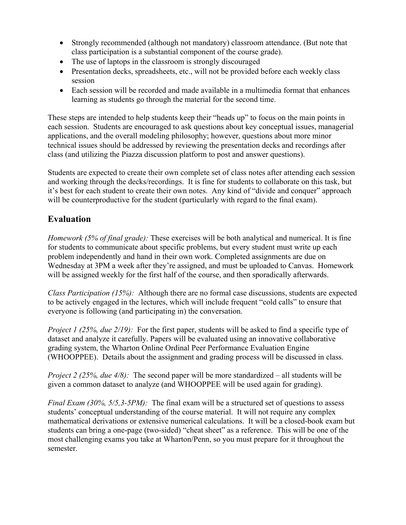- Strongly recommended (although not mandatory) classroom attendance. (But note that class participation is a substantial component of the course grade).
- The use of laptops in the classroom is strongly discouraged
- Presentation decks, spreadsheets, etc., will not be provided before each weekly class session
- Each session will be recorded and made available in a multimedia format that enhances learning as students go through the material for the second time.

These steps are intended to help students keep their "heads up" to focus on the main points in each session. Students are encouraged to ask questions about key conceptual issues, managerial applications, and the overall modeling philosophy; however, questions about more minor technical issues should be addressed by reviewing the presentation decks and recordings after class (and utilizing the Piazza discussion platform to post and answer questions).

Students are expected to create their own complete set of class notes after attending each session and working through the decks/recordings. It is fine for students to collaborate on this task, but it's best for each student to create their own notes. Any kind of "divide and conquer" approach will be counterproductive for the student (particularly with regard to the final exam).

# **Evaluation**

*Homework (5% of final grade):* These exercises will be both analytical and numerical. It is fine for students to communicate about specific problems, but every student must write up each problem independently and hand in their own work. Completed assignments are due on Wednesday at 3PM a week after they're assigned, and must be uploaded to Canvas. Homework will be assigned weekly for the first half of the course, and then sporadically afterwards.

*Class Participation (15%):* Although there are no formal case discussions, students are expected to be actively engaged in the lectures, which will include frequent "cold calls" to ensure that everyone is following (and participating in) the conversation.

*Project 1 (25%, due 2/19):* For the first paper, students will be asked to find a specific type of dataset and analyze it carefully. Papers will be evaluated using an innovative collaborative grading system, the Wharton Online Ordinal Peer Performance Evaluation Engine (WHOOPPEE). Details about the assignment and grading process will be discussed in class.

*Project 2 (25%, due 4/8):* The second paper will be more standardized – all students will be given a common dataset to analyze (and WHOOPPEE will be used again for grading).

*Final Exam (30%, 5/5,3-5PM)*: The final exam will be a structured set of questions to assess students' conceptual understanding of the course material. It will not require any complex mathematical derivations or extensive numerical calculations. It will be a closed-book exam but students can bring a one-page (two-sided) "cheat sheet" as a reference. This will be one of the most challenging exams you take at Wharton/Penn, so you must prepare for it throughout the semester.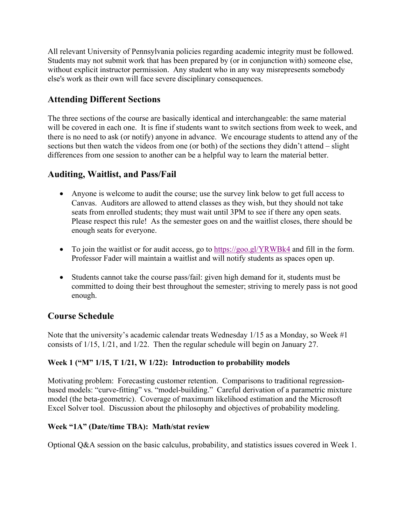All relevant University of Pennsylvania policies regarding academic integrity must be followed. Students may not submit work that has been prepared by (or in conjunction with) someone else, without explicit instructor permission. Any student who in any way misrepresents somebody else's work as their own will face severe disciplinary consequences.

# **Attending Different Sections**

The three sections of the course are basically identical and interchangeable: the same material will be covered in each one. It is fine if students want to switch sections from week to week, and there is no need to ask (or notify) anyone in advance. We encourage students to attend any of the sections but then watch the videos from one (or both) of the sections they didn't attend – slight differences from one session to another can be a helpful way to learn the material better.

# **Auditing, Waitlist, and Pass/Fail**

- Anyone is welcome to audit the course; use the survey link below to get full access to Canvas. Auditors are allowed to attend classes as they wish, but they should not take seats from enrolled students; they must wait until 3PM to see if there any open seats. Please respect this rule! As the semester goes on and the waitlist closes, there should be enough seats for everyone.
- To join the waitlist or for audit access, go to https://goo.gl/YRWBk4 and fill in the form. Professor Fader will maintain a waitlist and will notify students as spaces open up.
- Students cannot take the course pass/fail: given high demand for it, students must be committed to doing their best throughout the semester; striving to merely pass is not good enough.

# **Course Schedule**

Note that the university's academic calendar treats Wednesday 1/15 as a Monday, so Week #1 consists of 1/15, 1/21, and 1/22. Then the regular schedule will begin on January 27.

### **Week 1 ("M" 1/15, T 1/21, W 1/22): Introduction to probability models**

Motivating problem: Forecasting customer retention. Comparisons to traditional regressionbased models: "curve-fitting" vs. "model-building." Careful derivation of a parametric mixture model (the beta-geometric). Coverage of maximum likelihood estimation and the Microsoft Excel Solver tool. Discussion about the philosophy and objectives of probability modeling.

### **Week "1A" (Date/time TBA): Math/stat review**

Optional Q&A session on the basic calculus, probability, and statistics issues covered in Week 1.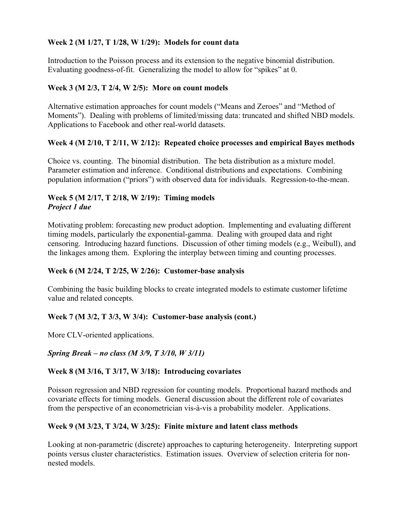#### **Week 2 (M 1/27, T 1/28, W 1/29): Models for count data**

Introduction to the Poisson process and its extension to the negative binomial distribution. Evaluating goodness-of-fit. Generalizing the model to allow for "spikes" at 0.

#### **Week 3 (M 2/3, T 2/4, W 2/5): More on count models**

Alternative estimation approaches for count models ("Means and Zeroes" and "Method of Moments"). Dealing with problems of limited/missing data: truncated and shifted NBD models. Applications to Facebook and other real-world datasets.

### **Week 4 (M 2/10, T 2/11, W 2/12): Repeated choice processes and empirical Bayes methods**

Choice vs. counting. The binomial distribution. The beta distribution as a mixture model. Parameter estimation and inference. Conditional distributions and expectations. Combining population information ("priors") with observed data for individuals. Regression-to-the-mean.

#### **Week 5 (M 2/17, T 2/18, W 2/19): Timing models**  *Project 1 due*

Motivating problem: forecasting new product adoption. Implementing and evaluating different timing models, particularly the exponential-gamma. Dealing with grouped data and right censoring. Introducing hazard functions. Discussion of other timing models (e.g., Weibull), and the linkages among them. Exploring the interplay between timing and counting processes.

#### **Week 6 (M 2/24, T 2/25, W 2/26): Customer-base analysis**

Combining the basic building blocks to create integrated models to estimate customer lifetime value and related concepts.

### **Week 7 (M 3/2, T 3/3, W 3/4): Customer-base analysis (cont.)**

More CLV-oriented applications.

*Spring Break – no class (M 3/9, T 3/10, W 3/11)* 

#### **Week 8 (M 3/16, T 3/17, W 3/18): Introducing covariates**

Poisson regression and NBD regression for counting models. Proportional hazard methods and covariate effects for timing models. General discussion about the different role of covariates from the perspective of an econometrician vis-à-vis a probability modeler. Applications.

#### **Week 9 (M 3/23, T 3/24, W 3/25): Finite mixture and latent class methods**

Looking at non-parametric (discrete) approaches to capturing heterogeneity. Interpreting support points versus cluster characteristics. Estimation issues. Overview of selection criteria for nonnested models.